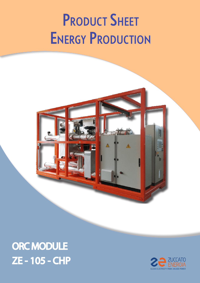# **PRODUCT SHEET ENERGY PRODUCTION**



## ORC MODULE ZE - 105 - CHP

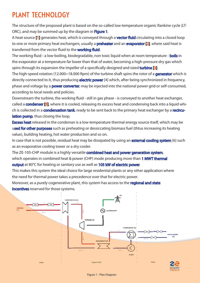## PLANT TECHNOLOGY

The structure of the proposed plant is based on the so-called low-temperature organic Rankine cycle (LT-ORC), and may be summed up by the diagram in Figure 1.

A heat source [1] generates heat, which is conveyed through a **vector fluid** circulating into a closed loop to one or more primary heat exchangers, usually a **preheater** and an **evaporator [2]**, where said heat is transferred from the vector fluid to the **working fluid**.

The working fluid - a low-boiling, biodegradable, non toxic liquid when at room temperature - **boils** in the evaporator at a temperature far lower than that of water, becoming a high-pressure dry gas which spins through its expansion the impeller of a specifically designed and sized **turbine [3]**.

The high-speed rotation (12.000 $\div$ 18.000 Rpm) of the turbine shaft spins the rotor of a **generator** which is directly connected to it, thus producing **electric power** [4] which, after being synchronized in frequency, phase and voltage by a **power converter**, may be injected into the national power grid or self-consumed, according to local needs and policies.

Downstream the turbine, the working fluid - still in gas phase - is conveyed to another heat exchanger, called a **condenser [5]**, where it is cooled, releasing its excess heat and condensing back into a liquid which is collected in a **condensation tank**, ready to be sent back to the primary heat exchanger by a **recircu**lation pump, thus closing the loop.

**Excess heat** released in the condenser is a low-temperature thermal energy source itself, which may be used for other purposes such as preheating or dessiccating biomass fuel (thtus increasing its heating value), building heating, hot water production and so on.

In case that is not possible, residual heat may be dissipated by using an **external cooling system** [6] such as an evaporative cooling tower or a dry cooler.

The ZE-105-CHP module is a highly versatile **combined heat and power generation system**, which operates in combined heat & power (CHP) mode producing more than 1 MWT thermal output at 80°C for heating or sanitary use as well as 105 kW of electric power.

This makes this system the ideal choice for large residential plants or any other application where the need for thermal power takes a precedence over that for electric power.

Moreover, as a purely cogenerative plant, this system has access to the **regional and state** incentives reserved for those systems.

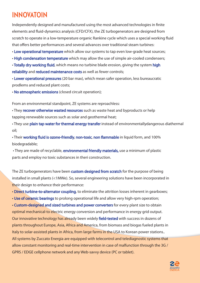## INNOVATOIN

Independently designed and manufactured using the most advanced technologies in finite elements and fluid-dynamics analysis (CFD/CFX), the ZE turbogenerators are designed from scratch to operate in a low-temperature organic Rankine cycle which uses a special working fluid that offers better performances and several advances over traditional steam turbines:

• Low operational temperature which allow our systems to tap even low-grade heat sources;

• High condensation temperature which may allow the use of simple air-cooled condensers;

• Totally dry working fluid, which means no turbine blade erosion, giving the system high reliability and reduced maintenance costs as well as fewer controls;

• Lower operational pressures (20 bar max), which mean safer operation, less bureaucratic prodlems and reduced plant costs;

• No atmospheric emissions (closed circuit operation);

From an environmental standpoint, ZE systems are reproachless:

• They recover otherwise wasted resources such as waste heat and byproducts or help tapping renewable sources such as solar and geothermal heat;

• They use plain tap water for thermal energy transfer instead of environmentallydangerous diathermal oil;

• Their working fluid is ozone-friendly, non-toxic, non flammable in liquid form, and 100% biodegradable;

• They are made of recyclable, **environmental friendly materials**, use a minimum of plastic parts and employ no toxic substances in theri construction.

The ZE turbogenerators have been custom designed from scratch for the purpose of being installed in small plants (<1MWe). So, several engineering solutions have been incorporated in their design to enhance their performance:

• Direct turbine-to-alternator coupling, to eliminate the attrition losses inherent in gearboxes;

• Use of ceramic bearings to prolong operational life and allow very high-rpm operation;

• Custom-designed and sized turbines and power converters for every plant size to obtain optimal mechanical-to electric energy conversion and performance in energy grid output. Our innovative technology has already been widely field-tested with success in dozens of plants throughout Europe, Asia, Africa and America, from biomass and biogas fueled plants in Italy to solar-assisted plants in Africa, from large farms in the USA to Korean power stations.. All systems by Zuccato Energia are equipped with telecontrol and telediagnostic systems that allow constant monitoring and real-time intervention in case of malfunction through the 3G / GPRS / EDGE cellphone network and any Web-savvy device (PC or tablet).

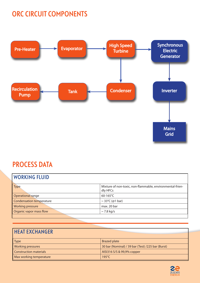## ORC CIRCUIT COMPONENTS



## PROCESS DATA

#### WORKING FLUID

| <b>Type</b>                     | Mixture of non-toxic, non-flammable, environmental-frien-<br>dly HFCs |
|---------------------------------|-----------------------------------------------------------------------|
| Operational range               | 60-165 $°C$                                                           |
| <b>Condensation temperature</b> | $\sim$ 33°C (@1 bar)                                                  |
| <b>Working pressure</b>         | max. 20 bar                                                           |
| Organic vapor mass flow         | $\sim$ 7.8 kg/s                                                       |
|                                 |                                                                       |

#### HEAT EXCHANGER

| <b>Type</b>                   | <b>Brazed plate</b>                               |
|-------------------------------|---------------------------------------------------|
| Working pressures             | 30 bar (Nominal) / 39 bar (Test) /225 bar (Burst) |
| <b>Construction materials</b> | AISI316 S/S & 99,9% copper                        |
| Max working temperature       | $195^{\circ}$ C                                   |

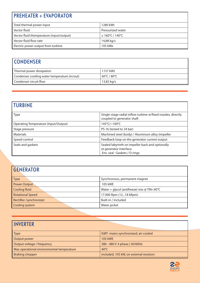### PREHEATER + EVAPORATOR

| Total thermal power input                | 1280 kWt                     |
|------------------------------------------|------------------------------|
| Vector fluid                             | Pressurized water            |
| Vector fluid themperature (input/output) | $\geq 160^{\circ}$ C / 140°C |
| Vector fluid flow rate                   | 14,88 kg/s                   |
| Electric power output from turbine       | 105 kWe                      |

## **CONDENSER**

| Thermal power dissipation                     | 1157 kWt    |
|-----------------------------------------------|-------------|
| Condenser cooiling water temperature (in/out) | 60°C / 80°C |
| <b>Condenser circuit flow</b>                 | 13,82 kg/s  |

#### TURBINE

| <b>Type</b>                          | Single-stage radial inflow turbine w/fixed nozzles, directly<br>coupled to generator shaft                  |
|--------------------------------------|-------------------------------------------------------------------------------------------------------------|
| Operating Temperature (Input/Output) | $145^{\circ}$ C/~100 $^{\circ}$ C                                                                           |
| Stage pressure                       | PS 16 (tested to 24 bar)                                                                                    |
| <b>Materials</b>                     | Machined steel (body) / Aluminium alloy (impeller                                                           |
| Speed control                        | Feedback loop on the generator current output                                                               |
| Seals and gaskets                    | Sealed labyrinth on impeller back and optionally<br>at generator interface.<br>Env. seal: Gaskets / O-rings |

#### **GENERATOR**

| Type                    | Synchronous, permanent magnet              |
|-------------------------|--------------------------------------------|
| <b>Power Output</b>     | 105 kWE                                    |
| Cooling fluid           | Water + glycol (antifreeze) mix @ TIN<40°C |
| <b>Rotational Speed</b> | 17.000 Rpm (1218 kRpm)                     |
| Rectifier /synchronizer | Built-in / Included                        |
| Cooling system          | Water jacket                               |

| <b>INVERTER</b>                           |                                         |
|-------------------------------------------|-----------------------------------------|
| <b>Type</b>                               | IGBT- mains synchronized, air-cooled    |
| Output power                              | <b>105 kWE</b>                          |
| Output voltage / frequency                | 380 - 480 V 3-phase   50/60Hz           |
| Max operational environmental temperature | $40^{\circ}$ C                          |
| <b>Braking chopper</b>                    | included, 105 kW, on external resistors |